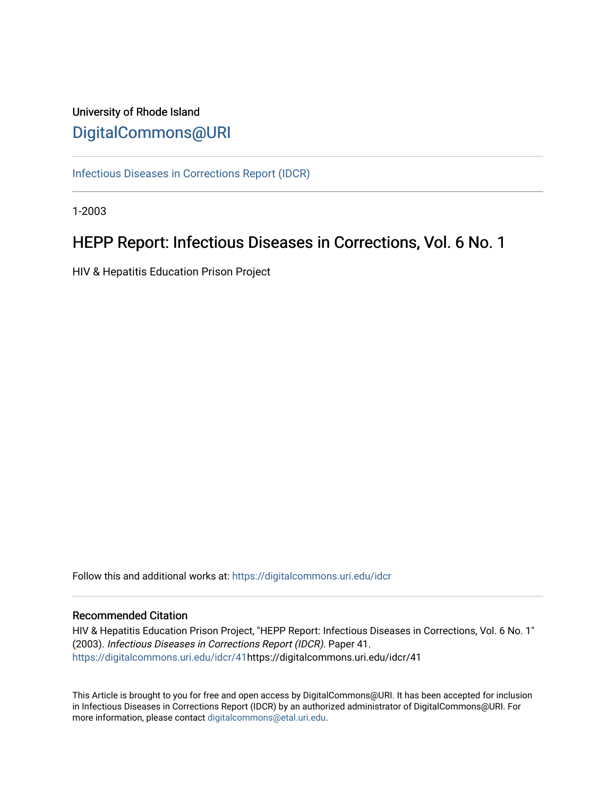# University of Rhode Island [DigitalCommons@URI](https://digitalcommons.uri.edu/)

[Infectious Diseases in Corrections Report \(IDCR\)](https://digitalcommons.uri.edu/idcr)

1-2003

# HEPP Report: Infectious Diseases in Corrections, Vol. 6 No. 1

HIV & Hepatitis Education Prison Project

Follow this and additional works at: [https://digitalcommons.uri.edu/idcr](https://digitalcommons.uri.edu/idcr?utm_source=digitalcommons.uri.edu%2Fidcr%2F41&utm_medium=PDF&utm_campaign=PDFCoverPages)

### Recommended Citation

HIV & Hepatitis Education Prison Project, "HEPP Report: Infectious Diseases in Corrections, Vol. 6 No. 1" (2003). Infectious Diseases in Corrections Report (IDCR). Paper 41. [https://digitalcommons.uri.edu/idcr/41h](https://digitalcommons.uri.edu/idcr/41?utm_source=digitalcommons.uri.edu%2Fidcr%2F41&utm_medium=PDF&utm_campaign=PDFCoverPages)ttps://digitalcommons.uri.edu/idcr/41

This Article is brought to you for free and open access by DigitalCommons@URI. It has been accepted for inclusion in Infectious Diseases in Corrections Report (IDCR) by an authorized administrator of DigitalCommons@URI. For more information, please contact [digitalcommons@etal.uri.edu.](mailto:digitalcommons@etal.uri.edu)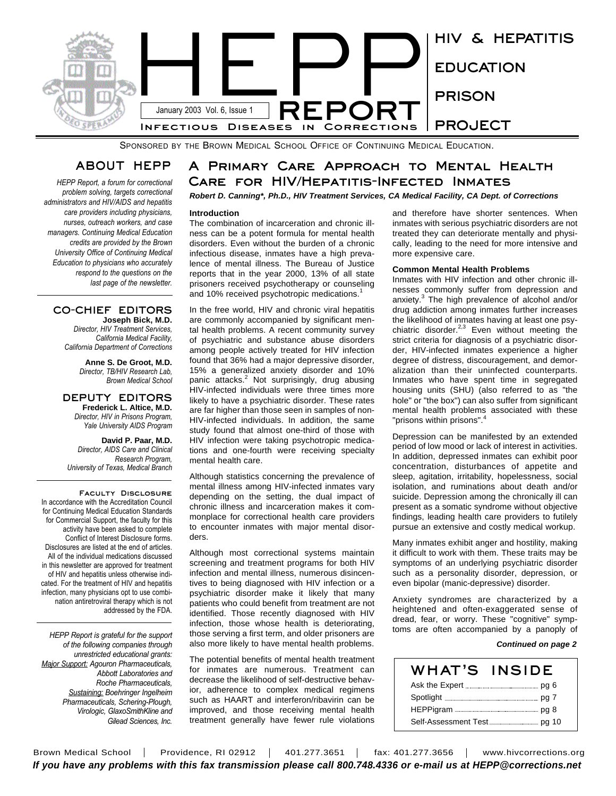

SPONSORED BY THE BROWN MEDICAL SCHOOL OFFICE OF CONTINUING MEDICAL EDUCATION.

## **ABOUT HEPP**

*HEPP Report, a forum for correctional problem solving, targets correctional administrators and HIV/AIDS and hepatitis care providers including physicians, nurses, outreach workers, and case managers. Continuing Medical Education credits are provided by the Brown University Office of Continuing Medical Education to physicians who accurately respond to the questions on the last page of the newsletter.* 

#### **CO-CHIEF EDITORS Joseph Bick, M.D.**

*Director, HIV Treatment Services, California Medical Facility, California Department of Corrections*

> **Anne S. De Groot, M.D.** *Director, TB/HIV Research Lab, Brown Medical School*

**DEPUTY EDITORS Frederick L. Altice, M.D.** *Director, HIV in Prisons Program, Yale University AIDS Program*

**David P. Paar, M.D.** *Director, AIDS Care and Clinical Research Program, University of Texas, Medical Branch*

**Faculty Disclosure** In accordance with the Accreditation Council for Continuing Medical Education Standards for Commercial Support, the faculty for this activity have been asked to complete Conflict of Interest Disclosure forms. Disclosures are listed at the end of articles. All of the individual medications discussed in this newsletter are approved for treatment of HIV and hepatitis unless otherwise indicated. For the treatment of HIV and hepatitis infection, many physicians opt to use combination antiretroviral therapy which is not addressed by the FDA.

*HEPP Report is grateful for the support of the following companies through unrestricted educational grants: Major Support: Agouron Pharmaceuticals, Abbott Laboratories and Roche Pharmaceuticals, Sustaining: Boehringer Ingelheim Pharmaceuticals, Schering-Plough, Virologic, GlaxoSmithKline and Gilead Sciences, Inc.*

# **A Primary Care Approach to Mental Health Care for HIV/Hepatitis-Infected Inmates**

### *Robert D. Canning\*, Ph.D., HIV Treatment Services, CA Medical Facility, CA Dept. of Corrections*

#### **Introduction**

The combination of incarceration and chronic illness can be a potent formula for mental health disorders. Even without the burden of a chronic infectious disease, inmates have a high prevalence of mental illness. The Bureau of Justice reports that in the year 2000, 13% of all state prisoners received psychotherapy or counseling and 10% received psychotropic medications.<sup>1</sup>

In the free world, HIV and chronic viral hepatitis are commonly accompanied by significant mental health problems. A recent community survey of psychiatric and substance abuse disorders among people actively treated for HIV infection found that 36% had a major depressive disorder, 15% a generalized anxiety disorder and 10% panic attacks.<sup>2</sup> Not surprisingly, drug abusing HIV-infected individuals were three times more likely to have a psychiatric disorder. These rates are far higher than those seen in samples of non-HIV-infected individuals. In addition, the same study found that almost one-third of those with HIV infection were taking psychotropic medications and one-fourth were receiving specialty mental health care.

Although statistics concerning the prevalence of mental illness among HIV-infected inmates vary depending on the setting, the dual impact of chronic illness and incarceration makes it commonplace for correctional health care providers to encounter inmates with major mental disorders.

Although most correctional systems maintain screening and treatment programs for both HIV infection and mental illness, numerous disincentives to being diagnosed with HIV infection or a psychiatric disorder make it likely that many patients who could benefit from treatment are not identified. Those recently diagnosed with HIV infection, those whose health is deteriorating, those serving a first term, and older prisoners are also more likely to have mental health problems.

The potential benefits of mental health treatment for inmates are numerous. Treatment can decrease the likelihood of self-destructive behavior, adherence to complex medical regimens such as HAART and interferon/ribavirin can be improved, and those receiving mental health treatment generally have fewer rule violations

and therefore have shorter sentences. When inmates with serious psychiatric disorders are not treated they can deteriorate mentally and physically, leading to the need for more intensive and more expensive care.

#### **Common Mental Health Problems**

Inmates with HIV infection and other chronic illnesses commonly suffer from depression and anxiety.<sup>3</sup> The high prevalence of alcohol and/or drug addiction among inmates further increases the likelihood of inmates having at least one psychiatric disorder. $2,3$  Even without meeting the strict criteria for diagnosis of a psychiatric disorder, HIV-infected inmates experience a higher degree of distress, discouragement, and demoralization than their uninfected counterparts. Inmates who have spent time in segregated housing units (SHU) (also referred to as "the hole" or "the box") can also suffer from significant mental health problems associated with these "prisons within prisons".<sup>4</sup>

Depression can be manifested by an extended period of low mood or lack of interest in activities. In addition, depressed inmates can exhibit poor concentration, disturbances of appetite and sleep, agitation, irritability, hopelessness, social isolation, and ruminations about death and/or suicide. Depression among the chronically ill can present as a somatic syndrome without objective findings, leading health care providers to futilely pursue an extensive and costly medical workup.

Many inmates exhibit anger and hostility, making it difficult to work with them. These traits may be symptoms of an underlying psychiatric disorder such as a personality disorder, depression, or even bipolar (manic-depressive) disorder.

Anxiety syndromes are characterized by a heightened and often-exaggerated sense of dread, fear, or worry. These "cognitive" symptoms are often accompanied by a panoply of

#### *Continued on page 2*

| WHAT'S | <b>INSIDE</b> |
|--------|---------------|
|        |               |
|        |               |
|        |               |
|        |               |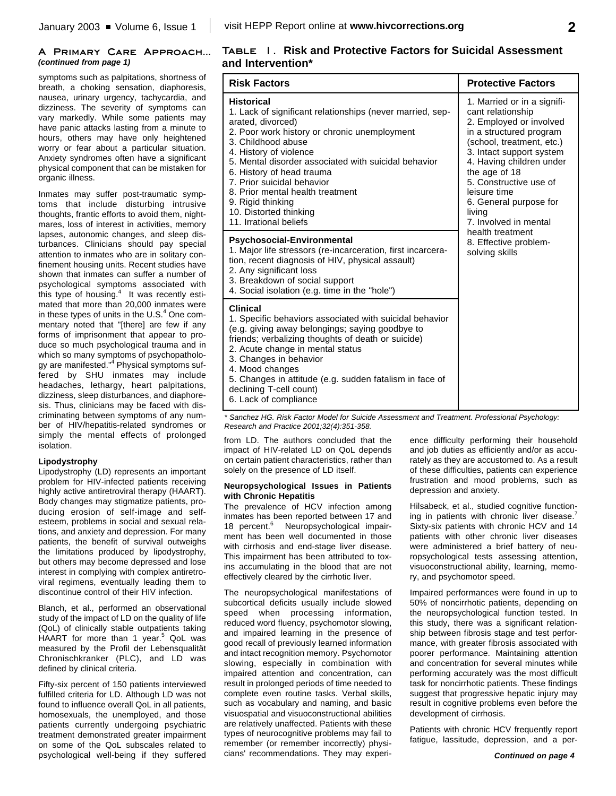#### **A Primary Care Approach...** *(continued from page 1)*

symptoms such as palpitations, shortness of breath, a choking sensation, diaphoresis, nausea, urinary urgency, tachycardia, and dizziness. The severity of symptoms can vary markedly. While some patients may have panic attacks lasting from a minute to hours, others may have only heightened worry or fear about a particular situation. Anxiety syndromes often have a significant physical component that can be mistaken for organic illness.

Inmates may suffer post-traumatic symptoms that include disturbing intrusive thoughts, frantic efforts to avoid them, nightmares, loss of interest in activities, memory lapses, autonomic changes, and sleep disturbances. Clinicians should pay special attention to inmates who are in solitary confinement housing units. Recent studies have shown that inmates can suffer a number of psychological symptoms associated with this type of housing.<sup>4</sup> It was recently estimated that more than 20,000 inmates were in these types of units in the U.S.<sup>4</sup> One commentary noted that "[there] are few if any forms of imprisonment that appear to produce so much psychological trauma and in which so many symptoms of psychopathology are manifested." <sup>4</sup> Physical symptoms suffered by SHU inmates may include headaches, lethargy, heart palpitations, dizziness, sleep disturbances, and diaphoresis. Thus, clinicians may be faced with discriminating between symptoms of any number of HIV/hepatitis-related syndromes or simply the mental effects of prolonged isolation.

#### **Lipodystrophy**

Lipodystrophy (LD) represents an important problem for HIV-infected patients receiving highly active antiretroviral therapy (HAART). Body changes may stigmatize patients, producing erosion of self-image and selfesteem, problems in social and sexual relations, and anxiety and depression. For many patients, the benefit of survival outweighs the limitations produced by lipodystrophy, but others may become depressed and lose interest in complying with complex antiretroviral regimens, eventually leading them to discontinue control of their HIV infection.

Blanch, et al., performed an observational study of the impact of LD on the quality of life (QoL) of clinically stable outpatients taking HAART for more than 1 year. <sup>5</sup> QoL was measured by the Profil der Lebensqualität Chronischkranker (PLC), and LD was defined by clinical criteria.

Fifty-six percent of 150 patients interviewed fulfilled criteria for LD. Although LD was not found to influence overall QoL in all patients, homosexuals, the unemployed, and those patients currently undergoing psychiatric treatment demonstrated greater impairment on some of the QoL subscales related to psychological well-being if they suffered

### **Table 1. Risk and Protective Factors for Suicidal Assessment and Intervention\***

| <b>Risk Factors</b>                                                                                                                                                                                                                                                                                                                                                                                                                 | <b>Protective Factors</b>                                                                                                                                                                                                                                                                                           |  |  |
|-------------------------------------------------------------------------------------------------------------------------------------------------------------------------------------------------------------------------------------------------------------------------------------------------------------------------------------------------------------------------------------------------------------------------------------|---------------------------------------------------------------------------------------------------------------------------------------------------------------------------------------------------------------------------------------------------------------------------------------------------------------------|--|--|
| <b>Historical</b><br>1. Lack of significant relationships (never married, sep-<br>arated, divorced)<br>2. Poor work history or chronic unemployment<br>3. Childhood abuse<br>4. History of violence<br>5. Mental disorder associated with suicidal behavior<br>6. History of head trauma<br>7. Prior suicidal behavior<br>8. Prior mental health treatment<br>9. Rigid thinking<br>10. Distorted thinking<br>11. Irrational beliefs | 1. Married or in a signifi-<br>cant relationship<br>2. Employed or involved<br>in a structured program<br>(school, treatment, etc.)<br>3. Intact support system<br>4. Having children under<br>the age of 18<br>5. Constructive use of<br>leisure time<br>6. General purpose for<br>living<br>7. Involved in mental |  |  |
| <b>Psychosocial-Environmental</b><br>1. Major life stressors (re-incarceration, first incarcera-<br>tion, recent diagnosis of HIV, physical assault)<br>2. Any significant loss<br>3. Breakdown of social support<br>4. Social isolation (e.g. time in the "hole")                                                                                                                                                                  | health treatment<br>8. Effective problem-<br>solving skills                                                                                                                                                                                                                                                         |  |  |
| <b>Clinical</b><br>1. Specific behaviors associated with suicidal behavior<br>(e.g. giving away belongings; saying goodbye to<br>friends; verbalizing thoughts of death or suicide)<br>2. Acute change in mental status<br>3. Changes in behavior<br>4. Mood changes<br>5. Changes in attitude (e.g. sudden fatalism in face of<br>declining T-cell count)<br>6. Lack of compliance                                                 |                                                                                                                                                                                                                                                                                                                     |  |  |

*\* Sanchez HG. Risk Factor Model for Suicide Assessment and Treatment. Professional Psychology: Research and Practice 2001;32(4):351-358.*

from LD. The authors concluded that the impact of HIV-related LD on QoL depends on certain patient characteristics, rather than solely on the presence of LD itself.

#### **Neuropsychological Issues in Patients with Chronic Hepatitis**

The prevalence of HCV infection among inmates has been reported between 17 and 18 percent. <sup>6</sup> Neuropsychological impairment has been well documented in those with cirrhosis and end-stage liver disease. This impairment has been attributed to toxins accumulating in the blood that are not effectively cleared by the cirrhotic liver.

The neuropsychological manifestations of subcortical deficits usually include slowed speed when processing information, reduced word fluency, psychomotor slowing, and impaired learning in the presence of good recall of previously learned information and intact recognition memory. Psychomotor slowing, especially in combination with impaired attention and concentration, can result in prolonged periods of time needed to complete even routine tasks. Verbal skills, such as vocabulary and naming, and basic visuospatial and visuoconstructional abilities are relatively unaffected. Patients with these types of neurocognitive problems may fail to remember (or remember incorrectly) physicians' recommendations. They may experi-

ence difficulty performing their household and job duties as efficiently and/or as accurately as they are accustomed to. As a result of these difficulties, patients can experience frustration and mood problems, such as depression and anxiety.

Hilsabeck, et al., studied cognitive functioning in patients with chronic liver disease.<sup>7</sup> Sixty-six patients with chronic HCV and 14 patients with other chronic liver diseases were administered a brief battery of neuropsychological tests assessing attention, visuoconstructional ability, learning, memory, and psychomotor speed.

Impaired performances were found in up to 50% of noncirrhotic patients, depending on the neuropsychological function tested. In this study, there was a significant relationship between fibrosis stage and test performance, with greater fibrosis associated with poorer performance. Maintaining attention and concentration for several minutes while performing accurately was the most difficult task for noncirrhotic patients. These findings suggest that progressive hepatic injury may result in cognitive problems even before the development of cirrhosis.

Patients with chronic HCV frequently report fatigue, lassitude, depression, and a per-

**2**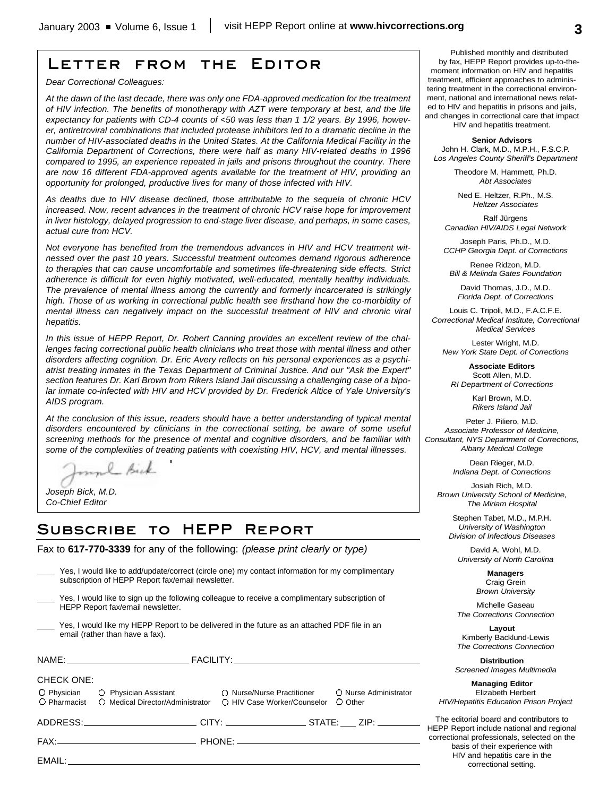# **Letter from the Editor**

*Dear Correctional Colleagues:*

*At the dawn of the last decade, there was only one FDA-approved medication for the treatment of HIV infection. The benefits of monotherapy with AZT were temporary at best, and the life expectancy for patients with CD-4 counts of <50 was less than 1 1/2 years. By 1996, however, antiretroviral combinations that included protease inhibitors led to a dramatic decline in the number of HIV-associated deaths in the United States. At the California Medical Facility in the California Department of Corrections, there were half as many HIV-related deaths in 1996 compared to 1995, an experience repeated in jails and prisons throughout the country. There are now 16 different FDA-approved agents available for the treatment of HIV, providing an opportunity for prolonged, productive lives for many of those infected with HIV.*

*As deaths due to HIV disease declined, those attributable to the sequela of chronic HCV increased. Now, recent advances in the treatment of chronic HCV raise hope for improvement in liver histology, delayed progression to end-stage liver disease, and perhaps, in some cases, actual cure from HCV.* 

*Not everyone has benefited from the tremendous advances in HIV and HCV treatment witnessed over the past 10 years. Successful treatment outcomes demand rigorous adherence to therapies that can cause uncomfortable and sometimes life-threatening side effects. Strict adherence is difficult for even highly motivated, well-educated, mentally healthy individuals. The prevalence of mental illness among the currently and formerly incarcerated is strikingly high. Those of us working in correctional public health see firsthand how the co-morbidity of mental illness can negatively impact on the successful treatment of HIV and chronic viral hepatitis.* 

*In this issue of HEPP Report, Dr. Robert Canning provides an excellent review of the challenges facing correctional public health clinicians who treat those with mental illness and other disorders affecting cognition. Dr. Eric Avery reflects on his personal experiences as a psychiatrist treating inmates in the Texas Department of Criminal Justice. And our "Ask the Expert" section features Dr. Karl Brown from Rikers Island Jail discussing a challenging case of a bipolar inmate co-infected with HIV and HCV provided by Dr. Frederick Altice of Yale University's AIDS program.*

*At the conclusion of this issue, readers should have a better understanding of typical mental disorders encountered by clinicians in the correctional setting, be aware of some useful screening methods for the presence of mental and cognitive disorders, and be familiar with some of the complexities of treating patients with coexisting HIV, HCV, and mental illnesses.*

mul Bick

*Joseph Bick, M.D. Co-Chief Editor*

# **Subscribe to HEPP Report**

Fax to **617-770-3339** for any of the following: *(please print clearly or type)*

| Yes, I would like to add/update/correct (circle one) my contact information for my complimentary<br>subscription of HEPP Report fax/email newsletter. |                             |                                  |
|-------------------------------------------------------------------------------------------------------------------------------------------------------|-----------------------------|----------------------------------|
| Yes, I would like to sign up the following colleague to receive a complimentary subscription of<br>HEPP Report fax/email newsletter.                  |                             |                                  |
| Yes, I would like my HEPP Report to be delivered in the future as an attached PDF file in an<br>email (rather than have a fax).                       |                             |                                  |
|                                                                                                                                                       |                             |                                  |
| <b>CHECK ONE:</b><br>O Physician C Physician Assistant C Nurse/Nurse Practitioner<br>O Pharmacist<br>○ Medical Director/Administrator                 | ○ HIV Case Worker/Counselor | O Nurse Administrator<br>O Other |
| _____________________________________CITY: ______________________STATE: _____ ZIP: ________________                                                   |                             |                                  |
|                                                                                                                                                       |                             |                                  |
|                                                                                                                                                       |                             |                                  |
|                                                                                                                                                       |                             |                                  |

Published monthly and distributed by fax, HEPP Report provides up-to-themoment information on HIV and hepatitis treatment, efficient approaches to administering treatment in the correctional environment, national and international news related to HIV and hepatitis in prisons and jails, and changes in correctional care that impact

HIV and hepatitis treatment.

**Senior Advisors** John H. Clark, M.D., M.P.H., F.S.C.P. *Los Angeles County Sheriff's Department*

> Theodore M. Hammett, Ph.D. *Abt Associates*

Ned E. Heltzer, R.Ph., M.S. *Heltzer Associates*

Ralf Jürgens *Canadian HIV/AIDS Legal Network*

Joseph Paris, Ph.D., M.D. *CCHP Georgia Dept. of Corrections*

Renee Ridzon, M.D. *Bill & Melinda Gates Foundation*

David Thomas, J.D., M.D. *Florida Dept. of Corrections*

Louis C. Tripoli, M.D., F.A.C.F.E. *Correctional Medical Institute, Correctional Medical Services*

Lester Wright, M.D. *New York State Dept. of Corrections*

**Associate Editors** Scott Allen, M.D. *RI Department of Corrections*

> Karl Brown, M.D. *Rikers Island Jail*

Peter J. Piliero, M.D. *Associate Professor of Medicine, Consultant, NYS Department of Corrections, Albany Medical College*

> Dean Rieger, M.D. *Indiana Dept. of Corrections*

Josiah Rich, M.D. *Brown University School of Medicine, The Miriam Hospital*

Stephen Tabet, M.D., M.P.H. *University of Washington Division of Infectious Diseases*

David A. Wohl, M.D. *University of North Carolina*

> **Managers** Craig Grein *Brown University*

Michelle Gaseau *The Corrections Connection*

**Layout** Kimberly Backlund-Lewis *The Corrections Connection*

**Distribution** *Screened Images Multimedia*

**Managing Editor** Elizabeth Herbert *HIV/Hepatitis Education Prison Project*

The editorial board and contributors to HEPP Report include national and regional correctional professionals, selected on the basis of their experience with HIV and hepatitis care in the correctional setting.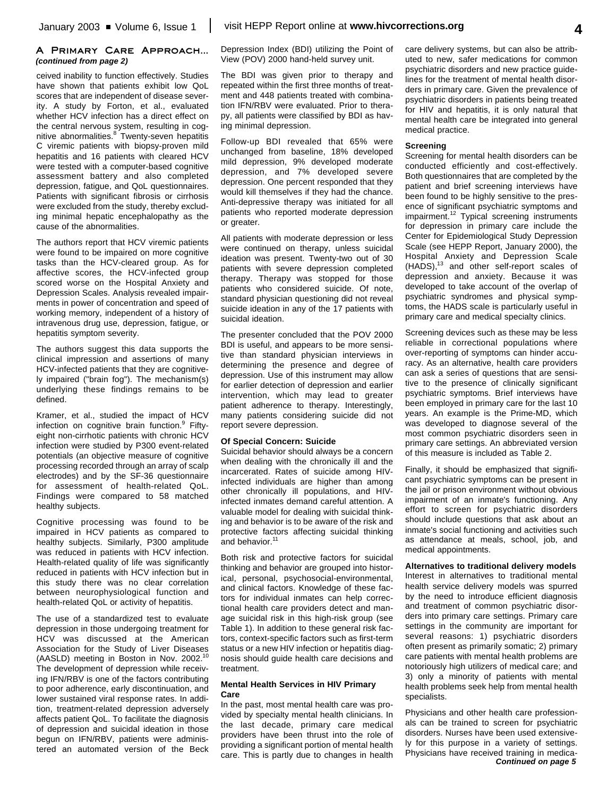#### **A Primary Care Approach...** *(continued from page 2)*

ceived inability to function effectively. Studies have shown that patients exhibit low QoL scores that are independent of disease severity. A study by Forton, et al., evaluated whether HCV infection has a direct effect on the central nervous system, resulting in cognitive abnormalities.<sup>8</sup> Twenty-seven hepatitis C viremic patients with biopsy-proven mild hepatitis and 16 patients with cleared HCV were tested with a computer-based cognitive assessment battery and also completed depression, fatigue, and QoL questionnaires. Patients with significant fibrosis or cirrhosis were excluded from the study, thereby excluding minimal hepatic encephalopathy as the cause of the abnormalities.

The authors report that HCV viremic patients were found to be impaired on more cognitive tasks than the HCV-cleared group. As for affective scores, the HCV-infected group scored worse on the Hospital Anxiety and Depression Scales. Analysis revealed impairments in power of concentration and speed of working memory, independent of a history of intravenous drug use, depression, fatigue, or hepatitis symptom severity.

The authors suggest this data supports the clinical impression and assertions of many HCV-infected patients that they are cognitively impaired ("brain fog"). The mechanism(s) underlying these findings remains to be defined.

Kramer, et al., studied the impact of HCV infection on cognitive brain function.<sup>9</sup> Fiftyeight non-cirrhotic patients with chronic HCV infection were studied by P300 event-related potentials (an objective measure of cognitive processing recorded through an array of scalp electrodes) and by the SF-36 questionnaire for assessment of health-related QoL. Findings were compared to 58 matched healthy subjects.

Cognitive processing was found to be impaired in HCV patients as compared to healthy subjects. Similarly, P300 amplitude was reduced in patients with HCV infection. Health-related quality of life was significantly reduced in patients with HCV infection but in this study there was no clear correlation between neurophysiological function and health-related QoL or activity of hepatitis.

The use of a standardized test to evaluate depression in those undergoing treatment for HCV was discussed at the American Association for the Study of Liver Diseases (AASLD) meeting in Boston in Nov. 2002.<sup>10</sup> The development of depression while receiving IFN/RBV is one of the factors contributing to poor adherence, early discontinuation, and lower sustained viral response rates. In addition, treatment-related depression adversely affects patient QoL. To facilitate the diagnosis of depression and suicidal ideation in those begun on IFN/RBV, patients were administered an automated version of the Beck

Depression Index (BDI) utilizing the Point of View (POV) 2000 hand-held survey unit.

The BDI was given prior to therapy and repeated within the first three months of treatment and 448 patients treated with combination IFN/RBV were evaluated. Prior to therapy, all patients were classified by BDI as having minimal depression.

Follow-up BDI revealed that 65% were unchanged from baseline, 18% developed mild depression, 9% developed moderate depression, and 7% developed severe depression. One percent responded that they would kill themselves if they had the chance. Anti-depressive therapy was initiated for all patients who reported moderate depression or greater.

All patients with moderate depression or less were continued on therapy, unless suicidal ideation was present. Twenty-two out of 30 patients with severe depression completed therapy. Therapy was stopped for those patients who considered suicide. Of note, standard physician questioning did not reveal suicide ideation in any of the 17 patients with suicidal ideation.

The presenter concluded that the POV 2000 BDI is useful, and appears to be more sensitive than standard physician interviews in determining the presence and degree of depression. Use of this instrument may allow for earlier detection of depression and earlier intervention, which may lead to greater patient adherence to therapy. Interestingly, many patients considering suicide did not report severe depression.

#### **Of Special Concern: Suicide**

Suicidal behavior should always be a concern when dealing with the chronically ill and the incarcerated. Rates of suicide among HIVinfected individuals are higher than among other chronically ill populations, and HIVinfected inmates demand careful attention. A valuable model for dealing with suicidal thinking and behavior is to be aware of the risk and protective factors affecting suicidal thinking and behavior.<sup>11</sup>

Both risk and protective factors for suicidal thinking and behavior are grouped into historical, personal, psychosocial-environmental, and clinical factors. Knowledge of these factors for individual inmates can help correctional health care providers detect and manage suicidal risk in this high-risk group (see Table 1). In addition to these general risk factors, context-specific factors such as first-term status or a new HIV infection or hepatitis diagnosis should guide health care decisions and treatment.

#### **Mental Health Services in HIV Primary Care**

In the past, most mental health care was provided by specialty mental health clinicians. In the last decade, primary care medical providers have been thrust into the role of providing a significant portion of mental health care. This is partly due to changes in health

care delivery systems, but can also be attributed to new, safer medications for common psychiatric disorders and new practice guidelines for the treatment of mental health disorders in primary care. Given the prevalence of psychiatric disorders in patients being treated for HIV and hepatitis, it is only natural that mental health care be integrated into general medical practice.

#### **Screening**

Screening for mental health disorders can be conducted efficiently and cost-effectively. Both questionnaires that are completed by the patient and brief screening interviews have been found to be highly sensitive to the presence of significant psychiatric symptoms and impairment. 12 Typical screening instruments for depression in primary care include the Center for Epidemiological Study Depression Scale (see HEPP Report, January 2000), the Hospital Anxiety and Depression Scale (HADS),<sup>13</sup> and other self-report scales of depression and anxiety. Because it was developed to take account of the overlap of psychiatric syndromes and physical symptoms, the HADS scale is particularly useful in primary care and medical specialty clinics.

Screening devices such as these may be less reliable in correctional populations where over-reporting of symptoms can hinder accuracy. As an alternative, health care providers can ask a series of questions that are sensitive to the presence of clinically significant psychiatric symptoms. Brief interviews have been employed in primary care for the last 10 years. An example is the Prime-MD, which was developed to diagnose several of the most common psychiatric disorders seen in primary care settings. An abbreviated version of this measure is included as Table 2.

Finally, it should be emphasized that significant psychiatric symptoms can be present in the jail or prison environment without obvious impairment of an inmate's functioning. Any effort to screen for psychiatric disorders should include questions that ask about an inmate's social functioning and activities such as attendance at meals, school, job, and medical appointments.

**Alternatives to traditional delivery models** Interest in alternatives to traditional mental health service delivery models was spurred by the need to introduce efficient diagnosis and treatment of common psychiatric disorders into primary care settings. Primary care settings in the community are important for several reasons: 1) psychiatric disorders often present as primarily somatic; 2) primary care patients with mental health problems are notoriously high utilizers of medical care; and 3) only a minority of patients with mental health problems seek help from mental health

Physicians and other health care professionals can be trained to screen for psychiatric disorders. Nurses have been used extensively for this purpose in a variety of settings. Physicians have received training in medica-*Continued on page 5*

specialists.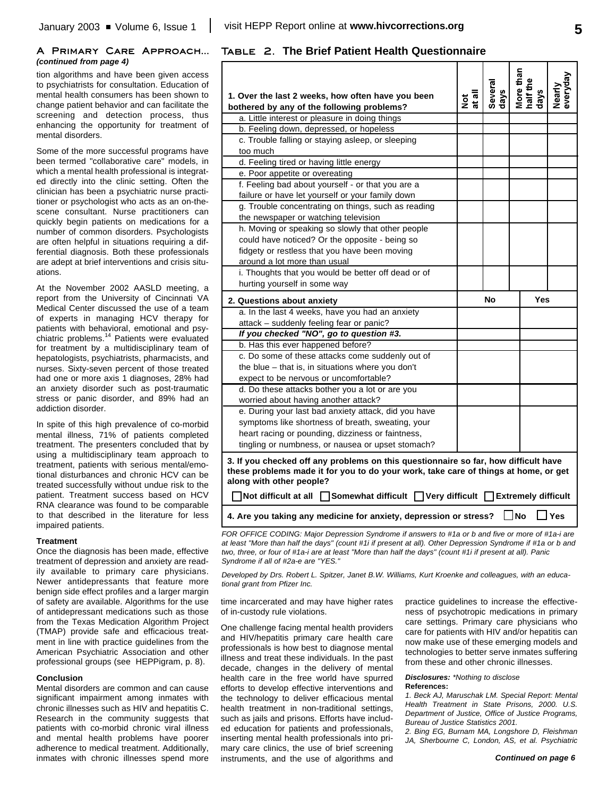#### **A Primary Care Approach...** *(continued from page 4)*

tion algorithms and have been given access to psychiatrists for consultation. Education of mental health consumers has been shown to change patient behavior and can facilitate the screening and detection process, thus enhancing the opportunity for treatment of mental disorders.

Some of the more successful programs have been termed "collaborative care" models, in which a mental health professional is integrated directly into the clinic setting. Often the clinician has been a psychiatric nurse practitioner or psychologist who acts as an on-thescene consultant. Nurse practitioners can quickly begin patients on medications for a number of common disorders. Psychologists are often helpful in situations requiring a differential diagnosis. Both these professionals are adept at brief interventions and crisis situations.

At the November 2002 AASLD meeting, a report from the University of Cincinnati VA Medical Center discussed the use of a team of experts in managing HCV therapy for patients with behavioral, emotional and psy-.<br>chiatric problems.<sup>14</sup> Patients were evaluated for treatment by a multidisciplinary team of hepatologists, psychiatrists, pharmacists, and nurses. Sixty-seven percent of those treated had one or more axis 1 diagnoses, 28% had an anxiety disorder such as post-traumatic stress or panic disorder, and 89% had an addiction disorder.

In spite of this high prevalence of co-morbid mental illness, 71% of patients completed treatment. The presenters concluded that by using a multidisciplinary team approach to treatment, patients with serious mental/emotional disturbances and chronic HCV can be treated successfully without undue risk to the patient. Treatment success based on HCV RNA clearance was found to be comparable to that described in the literature for less impaired patients.

#### **Treatment**

Once the diagnosis has been made, effective treatment of depression and anxiety are readily available to primary care physicians. Newer antidepressants that feature more benign side effect profiles and a larger margin of safety are available. Algorithms for the use of antidepressant medications such as those from the Texas Medication Algorithm Project (TMAP) provide safe and efficacious treatment in line with practice guidelines from the American Psychiatric Association and other professional groups (see HEPPigram, p. 8).

#### **Conclusion**

Mental disorders are common and can cause significant impairment among inmates with chronic illnesses such as HIV and hepatitis C. Research in the community suggests that patients with co-morbid chronic viral illness and mental health problems have poorer adherence to medical treatment. Additionally, inmates with chronic illnesses spend more

### **Table 2. The Brief Patient Health Questionnaire**

| 1. Over the last 2 weeks, how often have you been                                                                                                                                                      | Not<br>at all | Several<br>days | More than<br>half the<br>days | veryday<br>Nearly |
|--------------------------------------------------------------------------------------------------------------------------------------------------------------------------------------------------------|---------------|-----------------|-------------------------------|-------------------|
| bothered by any of the following problems?                                                                                                                                                             |               |                 |                               |                   |
| a. Little interest or pleasure in doing things                                                                                                                                                         |               |                 |                               |                   |
| b. Feeling down, depressed, or hopeless                                                                                                                                                                |               |                 |                               |                   |
| c. Trouble falling or staying asleep, or sleeping                                                                                                                                                      |               |                 |                               |                   |
| too much                                                                                                                                                                                               |               |                 |                               |                   |
| d. Feeling tired or having little energy                                                                                                                                                               |               |                 |                               |                   |
| e. Poor appetite or overeating                                                                                                                                                                         |               |                 |                               |                   |
| f. Feeling bad about yourself - or that you are a                                                                                                                                                      |               |                 |                               |                   |
| failure or have let yourself or your family down                                                                                                                                                       |               |                 |                               |                   |
| g. Trouble concentrating on things, such as reading                                                                                                                                                    |               |                 |                               |                   |
| the newspaper or watching television                                                                                                                                                                   |               |                 |                               |                   |
| h. Moving or speaking so slowly that other people                                                                                                                                                      |               |                 |                               |                   |
| could have noticed? Or the opposite - being so                                                                                                                                                         |               |                 |                               |                   |
| fidgety or restless that you have been moving                                                                                                                                                          |               |                 |                               |                   |
| around a lot more than usual                                                                                                                                                                           |               |                 |                               |                   |
| i. Thoughts that you would be better off dead or of                                                                                                                                                    |               |                 |                               |                   |
| hurting yourself in some way                                                                                                                                                                           |               |                 |                               |                   |
| 2. Questions about anxiety                                                                                                                                                                             |               | No              | Yes                           |                   |
| a. In the last 4 weeks, have you had an anxiety                                                                                                                                                        |               |                 |                               |                   |
| attack - suddenly feeling fear or panic?                                                                                                                                                               |               |                 |                               |                   |
| If you checked "NO", go to question #3.                                                                                                                                                                |               |                 |                               |                   |
|                                                                                                                                                                                                        |               |                 |                               |                   |
| b. Has this ever happened before?                                                                                                                                                                      |               |                 |                               |                   |
| c. Do some of these attacks come suddenly out of                                                                                                                                                       |               |                 |                               |                   |
| the blue - that is, in situations where you don't                                                                                                                                                      |               |                 |                               |                   |
|                                                                                                                                                                                                        |               |                 |                               |                   |
| expect to be nervous or uncomfortable?                                                                                                                                                                 |               |                 |                               |                   |
| d. Do these attacks bother you a lot or are you                                                                                                                                                        |               |                 |                               |                   |
| worried about having another attack?                                                                                                                                                                   |               |                 |                               |                   |
| e. During your last bad anxiety attack, did you have                                                                                                                                                   |               |                 |                               |                   |
| symptoms like shortness of breath, sweating, your                                                                                                                                                      |               |                 |                               |                   |
| heart racing or pounding, dizziness or faintness,                                                                                                                                                      |               |                 |                               |                   |
| tingling or numbness, or nausea or upset stomach?                                                                                                                                                      |               |                 |                               |                   |
| 3. If you checked off any problems on this questionnaire so far, how difficult have<br>these problems made it for you to do your work, take care of things at home, or get<br>along with other people? |               |                 |                               |                   |
| Not difficult at all $\Box$ Somewhat difficult $\Box$ Very difficult $\Box$ Extremely difficult                                                                                                        |               |                 |                               |                   |

*FOR OFFICE CODING: Major Depression Syndrome if answers to #1a or b and five or more of #1a-i are at least "More than half the days" (count #1i if present at all). Other Depression Syndrome if #1a or b and two, three, or four of #1a-i are at least "More than half the days" (count #1i if present at all). Panic Syndrome if all of #2a-e are "YES."*

*Developed by Drs. Robert L. Spitzer, Janet B.W. Williams, Kurt Kroenke and colleagues, with an educational grant from Pfizer Inc.*

time incarcerated and may have higher rates of in-custody rule violations.

One challenge facing mental health providers and HIV/hepatitis primary care health care professionals is how best to diagnose mental illness and treat these individuals. In the past decade, changes in the delivery of mental health care in the free world have spurred efforts to develop effective interventions and the technology to deliver efficacious mental health treatment in non-traditional settings, such as jails and prisons. Efforts have included education for patients and professionals, inserting mental health professionals into primary care clinics, the use of brief screening instruments, and the use of algorithms and

practice guidelines to increase the effectiveness of psychotropic medications in primary care settings. Primary care physicians who care for patients with HIV and/or hepatitis can now make use of these emerging models and technologies to better serve inmates suffering from these and other chronic illnesses.

*Disclosures: \*Nothing to disclose* **References:**

*1. Beck AJ, Maruschak LM. Special Report: Mental Health Treatment in State Prisons, 2000. U.S. Department of Justice, Office of Justice Programs, Bureau of Justice Statistics 2001.*

*2. Bing EG, Burnam MA, Longshore D, Fleishman JA, Sherbourne C, London, AS, et al. Psychiatric*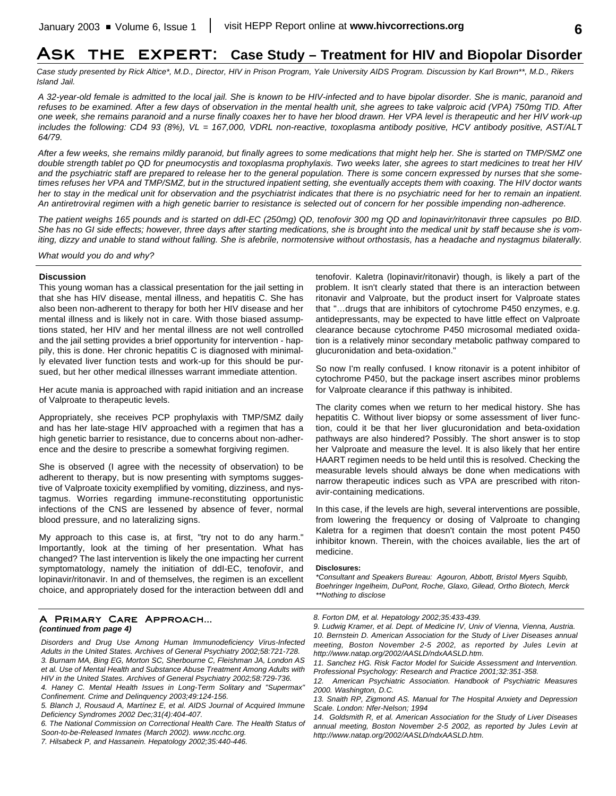# **Ask the expert: Case Study – Treatment for HIV and Biopolar Disorder**

*Case study presented by Rick Altice\*, M.D., Director, HIV in Prison Program, Yale University AIDS Program. Discussion by Karl Brown\*\*, M.D., Rikers Island Jail.*

*A 32-year-old female is admitted to the local jail. She is known to be HIV-infected and to have bipolar disorder. She is manic, paranoid and refuses to be examined. After a few days of observation in the mental health unit, she agrees to take valproic acid (VPA) 750mg TID. After one week, she remains paranoid and a nurse finally coaxes her to have her blood drawn. Her VPA level is therapeutic and her HIV work-up includes the following: CD4 93 (8%), VL = 167,000, VDRL non-reactive, toxoplasma antibody positive, HCV antibody positive, AST/ALT 64/79.*

*After a few weeks, she remains mildly paranoid, but finally agrees to some medications that might help her. She is started on TMP/SMZ one double strength tablet po QD for pneumocystis and toxoplasma prophylaxis. Two weeks later, she agrees to start medicines to treat her HIV and the psychiatric staff are prepared to release her to the general population. There is some concern expressed by nurses that she sometimes refuses her VPA and TMP/SMZ, but in the structured inpatient setting, she eventually accepts them with coaxing. The HIV doctor wants her to stay in the medical unit for observation and the psychiatrist indicates that there is no psychiatric need for her to remain an inpatient. An antiretroviral regimen with a high genetic barrier to resistance is selected out of concern for her possible impending non-adherence.* 

*The patient weighs 165 pounds and is started on ddI-EC (250mg) QD, tenofovir 300 mg QD and lopinavir/ritonavir three capsules po BID. She has no GI side effects; however, three days after starting medications, she is brought into the medical unit by staff because she is vomiting, dizzy and unable to stand without falling. She is afebrile, normotensive without orthostasis, has a headache and nystagmus bilaterally.* 

*What would you do and why?*

#### **Discussion**

This young woman has a classical presentation for the jail setting in that she has HIV disease, mental illness, and hepatitis C. She has also been non-adherent to therapy for both her HIV disease and her mental illness and is likely not in care. With those biased assumptions stated, her HIV and her mental illness are not well controlled and the jail setting provides a brief opportunity for intervention - happily, this is done. Her chronic hepatitis C is diagnosed with minimally elevated liver function tests and work-up for this should be pursued, but her other medical illnesses warrant immediate attention.

Her acute mania is approached with rapid initiation and an increase of Valproate to therapeutic levels.

Appropriately, she receives PCP prophylaxis with TMP/SMZ daily and has her late-stage HIV approached with a regimen that has a high genetic barrier to resistance, due to concerns about non-adherence and the desire to prescribe a somewhat forgiving regimen.

She is observed (I agree with the necessity of observation) to be adherent to therapy, but is now presenting with symptoms suggestive of Valproate toxicity exemplified by vomiting, dizziness, and nystagmus. Worries regarding immune-reconstituting opportunistic infections of the CNS are lessened by absence of fever, normal blood pressure, and no lateralizing signs.

My approach to this case is, at first, "try not to do any harm." Importantly, look at the timing of her presentation. What has changed? The last intervention is likely the one impacting her current symptomatology, namely the initiation of ddI-EC, tenofovir, and lopinavir/ritonavir. In and of themselves, the regimen is an excellent choice, and appropriately dosed for the interaction between ddI and tenofovir. Kaletra (lopinavir/ritonavir) though, is likely a part of the problem. It isn't clearly stated that there is an interaction between ritonavir and Valproate, but the product insert for Valproate states that "…drugs that are inhibitors of cytochrome P450 enzymes, e.g. antidepressants, may be expected to have little effect on Valproate clearance because cytochrome P450 microsomal mediated oxidation is a relatively minor secondary metabolic pathway compared to glucuronidation and beta-oxidation."

So now I'm really confused. I know ritonavir is a potent inhibitor of cytochrome P450, but the package insert ascribes minor problems for Valproate clearance if this pathway is inhibited.

The clarity comes when we return to her medical history. She has hepatitis C. Without liver biopsy or some assessment of liver function, could it be that her liver glucuronidation and beta-oxidation pathways are also hindered? Possibly. The short answer is to stop her Valproate and measure the level. It is also likely that her entire HAART regimen needs to be held until this is resolved. Checking the measurable levels should always be done when medications with narrow therapeutic indices such as VPA are prescribed with ritonavir-containing medications.

In this case, if the levels are high, several interventions are possible, from lowering the frequency or dosing of Valproate to changing Kaletra for a regimen that doesn't contain the most potent P450 inhibitor known. Therein, with the choices available, lies the art of medicine.

#### **Disclosures:**

*\*Consultant and Speakers Bureau: Agouron, Abbott, Bristol Myers Squibb, Boehringer Ingelheim, DuPont, Roche, Glaxo, Gilead, Ortho Biotech, Merck \*\*Nothing to disclose*

#### **A Primary Care Approach...** *(continued from page 4)*

- *Disorders and Drug Use Among Human Immunodeficiency Virus-Infected Adults in the United States. Archives of General Psychiatry 2002;58:721-728. 3. Burnam MA, Bing EG, Morton SC, Sherbourne C, Fleishman JA, London AS*
- *et al. Use of Mental Health and Substance Abuse Treatment Among Adults with HIV in the United States. Archives of General Psychiatry 2002;58:729-736.*
- *4. Haney C. Mental Health Issues in Long-Term Solitary and "Supermax" Confinement. Crime and Delinquency 2003;49:124-156.*
- *5. Blanch J, Rousaud A, Martínez E, et al. AIDS Journal of Acquired Immune Deficiency Syndromes 2002 Dec;31(4):404-407.*

*6. The National Commission on Correctional Health Care. The Health Status of Soon-to-be-Released Inmates (March 2002). www.ncchc.org.*

*8. Forton DM, et al. Hepatology 2002;35:433-439.*

*<sup>7.</sup> Hilsabeck P, and Hassanein. Hepatology 2002;35:440-446.*

*<sup>9.</sup> Ludwig Kramer, et al. Dept. of Medicine IV, Univ of Vienna, Vienna, Austria. 10. Bernstein D. American Association for the Study of Liver Diseases annual meeting, Boston November 2-5 2002, as reported by Jules Levin at http://www.natap.org/2002/AASLD/ndxAASLD.htm.*

*<sup>11.</sup> Sanchez HG. Risk Factor Model for Suicide Assessment and Intervention. Professional Psychology: Research and Practice 2001;32:351-358.*

*<sup>12.</sup> American Psychiatric Association. Handbook of Psychiatric Measures 2000. Washington, D.C.*

*<sup>13.</sup> Snaith RP, Zigmond AS. Manual for The Hospital Anxiety and Depression Scale. London: Nfer-Nelson; 1994*

*<sup>14.</sup> Goldsmith R, et al. American Association for the Study of Liver Diseases annual meeting, Boston November 2-5 2002, as reported by Jules Levin at http://www.natap.org/2002/AASLD/ndxAASLD.htm.*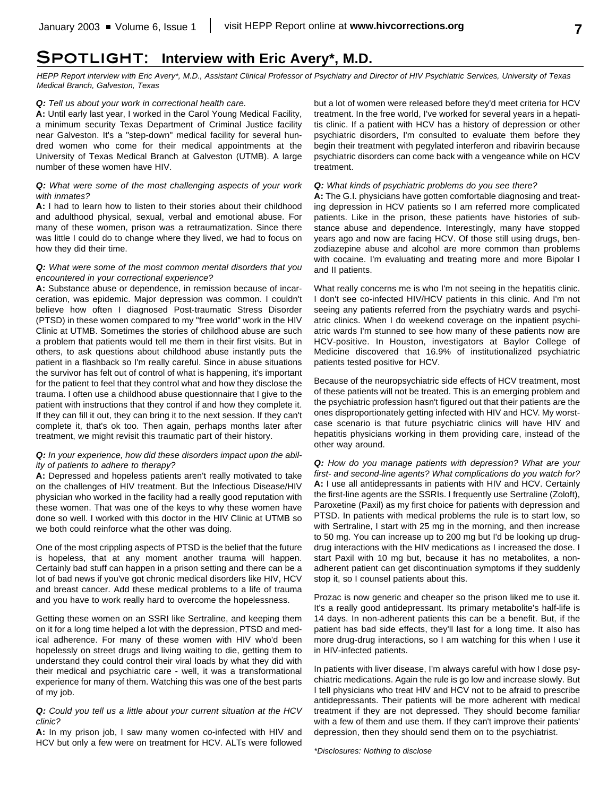# **Spotlight: Interview with Eric Avery\*, M.D.**

*HEPP Report interview with Eric Avery\*, M.D., Assistant Clinical Professor of Psychiatry and Director of HIV Psychiatric Services, University of Texas Medical Branch, Galveston, Texas*

#### *Q: Tell us about your work in correctional health care.*

**A:** Until early last year, I worked in the Carol Young Medical Facility, a minimum security Texas Department of Criminal Justice facility near Galveston. It's a "step-down" medical facility for several hundred women who come for their medical appointments at the University of Texas Medical Branch at Galveston (UTMB). A large number of these women have HIV.

#### *Q: What were some of the most challenging aspects of your work with inmates?*

**A:** I had to learn how to listen to their stories about their childhood and adulthood physical, sexual, verbal and emotional abuse. For many of these women, prison was a retraumatization. Since there was little I could do to change where they lived, we had to focus on how they did their time.

#### *Q: What were some of the most common mental disorders that you encountered in your correctional experience?*

**A:** Substance abuse or dependence, in remission because of incarceration, was epidemic. Major depression was common. I couldn't believe how often I diagnosed Post-traumatic Stress Disorder (PTSD) in these women compared to my "free world" work in the HIV Clinic at UTMB. Sometimes the stories of childhood abuse are such a problem that patients would tell me them in their first visits. But in others, to ask questions about childhood abuse instantly puts the patient in a flashback so I'm really careful. Since in abuse situations the survivor has felt out of control of what is happening, it's important for the patient to feel that they control what and how they disclose the trauma. I often use a childhood abuse questionnaire that I give to the patient with instructions that they control if and how they complete it. If they can fill it out, they can bring it to the next session. If they can't complete it, that's ok too. Then again, perhaps months later after treatment, we might revisit this traumatic part of their history.

#### *Q: In your experience, how did these disorders impact upon the ability of patients to adhere to therapy?*

**A:** Depressed and hopeless patients aren't really motivated to take on the challenges of HIV treatment. But the Infectious Disease/HIV physician who worked in the facility had a really good reputation with these women. That was one of the keys to why these women have done so well. I worked with this doctor in the HIV Clinic at UTMB so we both could reinforce what the other was doing.

One of the most crippling aspects of PTSD is the belief that the future is hopeless, that at any moment another trauma will happen. Certainly bad stuff can happen in a prison setting and there can be a lot of bad news if you've got chronic medical disorders like HIV, HCV and breast cancer. Add these medical problems to a life of trauma and you have to work really hard to overcome the hopelessness.

Getting these women on an SSRI like Sertraline, and keeping them on it for a long time helped a lot with the depression, PTSD and medical adherence. For many of these women with HIV who'd been hopelessly on street drugs and living waiting to die, getting them to understand they could control their viral loads by what they did with their medical and psychiatric care - well, it was a transformational experience for many of them. Watching this was one of the best parts of my job.

#### *Q: Could you tell us a little about your current situation at the HCV clinic?*

**A:** In my prison job, I saw many women co-infected with HIV and HCV but only a few were on treatment for HCV. ALTs were followed but a lot of women were released before they'd meet criteria for HCV treatment. In the free world, I've worked for several years in a hepatitis clinic. If a patient with HCV has a history of depression or other psychiatric disorders, I'm consulted to evaluate them before they begin their treatment with pegylated interferon and ribavirin because psychiatric disorders can come back with a vengeance while on HCV treatment.

#### *Q: What kinds of psychiatric problems do you see there?*

**A:** The G.I. physicians have gotten comfortable diagnosing and treating depression in HCV patients so I am referred more complicated patients. Like in the prison, these patients have histories of substance abuse and dependence. Interestingly, many have stopped years ago and now are facing HCV. Of those still using drugs, benzodiazepine abuse and alcohol are more common than problems with cocaine. I'm evaluating and treating more and more Bipolar I and II patients.

What really concerns me is who I'm not seeing in the hepatitis clinic. I don't see co-infected HIV/HCV patients in this clinic. And I'm not seeing any patients referred from the psychiatry wards and psychiatric clinics. When I do weekend coverage on the inpatient psychiatric wards I'm stunned to see how many of these patients now are HCV-positive. In Houston, investigators at Baylor College of Medicine discovered that 16.9% of institutionalized psychiatric patients tested positive for HCV.

Because of the neuropsychiatric side effects of HCV treatment, most of these patients will not be treated. This is an emerging problem and the psychiatric profession hasn't figured out that their patients are the ones disproportionately getting infected with HIV and HCV. My worstcase scenario is that future psychiatric clinics will have HIV and hepatitis physicians working in them providing care, instead of the other way around.

*Q: How do you manage patients with depression? What are your first- and second-line agents? What complications do you watch for?* **A:** I use all antidepressants in patients with HIV and HCV. Certainly the first-line agents are the SSRIs. I frequently use Sertraline (Zoloft), Paroxetine (Paxil) as my first choice for patients with depression and PTSD. In patients with medical problems the rule is to start low, so with Sertraline, I start with 25 mg in the morning, and then increase to 50 mg. You can increase up to 200 mg but I'd be looking up drugdrug interactions with the HIV medications as I increased the dose. I start Paxil with 10 mg but, because it has no metabolites, a nonadherent patient can get discontinuation symptoms if they suddenly stop it, so I counsel patients about this.

Prozac is now generic and cheaper so the prison liked me to use it. It's a really good antidepressant. Its primary metabolite's half-life is 14 days. In non-adherent patients this can be a benefit. But, if the patient has bad side effects, they'll last for a long time. It also has more drug-drug interactions, so I am watching for this when I use it in HIV-infected patients.

In patients with liver disease, I'm always careful with how I dose psychiatric medications. Again the rule is go low and increase slowly. But I tell physicians who treat HIV and HCV not to be afraid to prescribe antidepressants. Their patients will be more adherent with medical treatment if they are not depressed. They should become familiar with a few of them and use them. If they can't improve their patients' depression, then they should send them on to the psychiatrist.

*\*Disclosures: Nothing to disclose*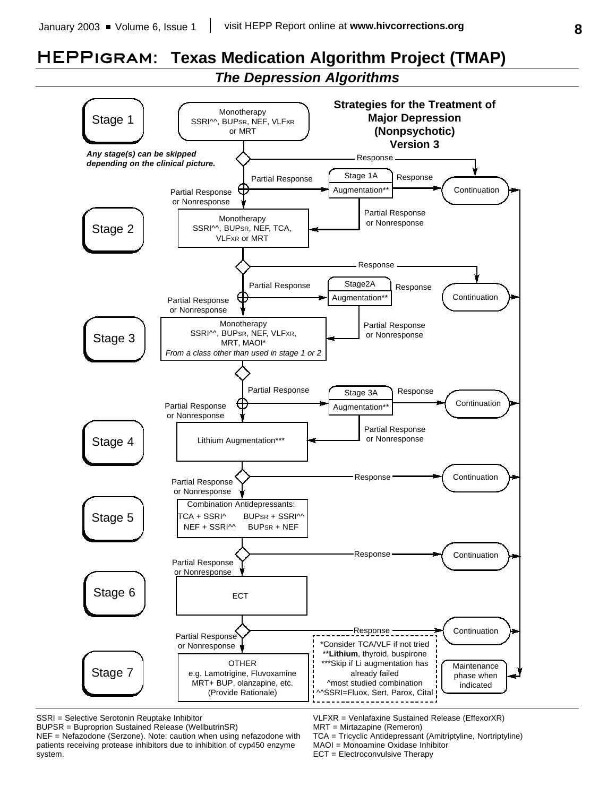# **HEPPigram: Texas Medication Algorithm Project (TMAP)**

*The Depression Algorithms*



SSRI = Selective Serotonin Reuptake Inhibitor

BUPSR = Buproprion Sustained Release (WellbutrinSR)

NEF = Nefazodone (Serzone). Note: caution when using nefazodone with patients receiving protease inhibitors due to inhibition of cyp450 enzyme system.

VLFXR = Venlafaxine Sustained Release (EffexorXR)

TCA = Tricyclic Antidepressant (Amitriptyline, Nortriptyline) MAOI = Monoamine Oxidase Inhibitor

ECT = Electroconvulsive Therapy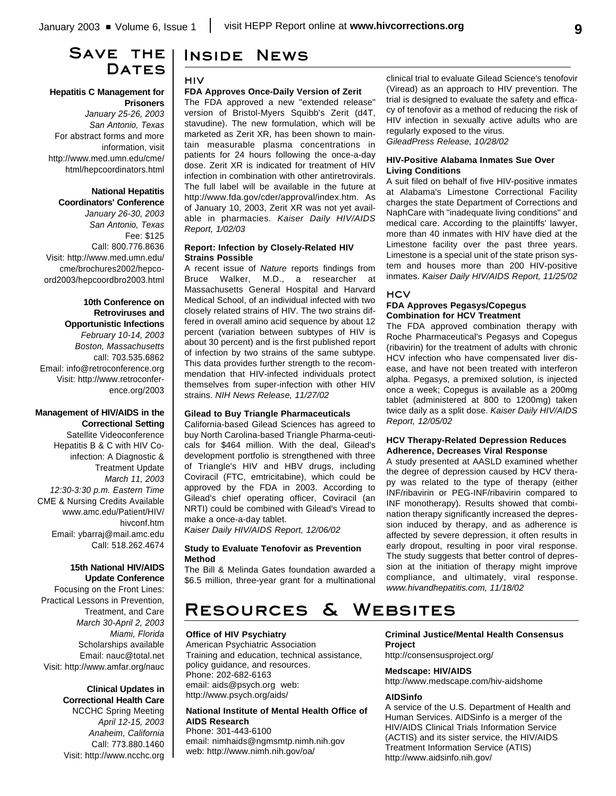# **Save the** DATES

#### **Hepatitis C Management for Prisoners**

*January 25-26, 2003 San Antonio, Texas* For abstract forms and more information, visit http://www.med.umn.edu/cme/ html/hepcoordinators.html

## **National Hepatitis**

**Coordinators' Conference** *January 26-30, 2003 San Antonio, Texas* Fee: \$125 Call: 800.776.8636 Visit: http://www.med.umn.edu/ cme/brochures2002/hepcoord2003/hepcoordbro2003.html

### **10th Conference on Retroviruses and Opportunistic Infections**

*February 10-14, 2003 Boston, Massachusetts* call: 703.535.6862 Email: info@retroconference.org Visit: http://www.retroconference.org/2003

#### **Management of HIV/AIDS in the Correctional Setting**

Satellite Videoconference Hepatitis B & C with HIV Coinfection: A Diagnostic & Treatment Update *March 11, 2003 12:30-3:30 p.m. Eastern Time* CME & Nursing Credits Available www.amc.edu/Patient/HIV/ hivconf.htm Email: ybarraj@mail.amc.edu Call: 518.262.4674

#### **15th National HIV/AIDS Update Conference**

Focusing on the Front Lines: Practical Lessons in Prevention, Treatment, and Care *March 30-April 2, 2003 Miami, Florida* Scholarships available Email: nauc@total.net Visit: http://www.amfar.org/nauc

## **Clinical Updates in Correctional Health Care** NCCHC Spring Meeting *April 12-15, 2003*

*Anaheim, California* Call: 773.880.1460 Visit: http://www.ncchc.org

# **Inside News**

#### **HIV**

#### **FDA Approves Once-Daily Version of Zerit**

The FDA approved a new "extended release" version of Bristol-Myers Squibb's Zerit (d4T, stavudine). The new formulation, which will be marketed as Zerit XR, has been shown to maintain measurable plasma concentrations in patients for 24 hours following the once-a-day dose. Zerit XR is indicated for treatment of HIV infection in combination with other antiretrovirals. The full label will be available in the future at http://www.fda.gov/cder/approval/index.htm. As of January 10, 2003, Zerit XR was not yet available in pharmacies. *Kaiser Daily HIV/AIDS Report, 1/02/03*

#### **Report: Infection by Closely-Related HIV Strains Possible**

A recent issue of *Nature* reports findings from Bruce Walker, M.D., a researcher at Massachusetts General Hospital and Harvard Medical School, of an individual infected with two closely related strains of HIV. The two strains differed in overall amino acid sequence by about 12 percent (variation between subtypes of HIV is about 30 percent) and is the first published report of infection by two strains of the same subtype. This data provides further strength to the recommendation that HIV-infected individuals protect themselves from super-infection with other HIV strains. *NIH News Release, 11/27/02*

### **Gilead to Buy Triangle Pharmaceuticals**

California-based Gilead Sciences has agreed to buy North Carolina-based Triangle Pharma-ceuticals for \$464 million. With the deal, Gilead's development portfolio is strengthened with three of Triangle's HIV and HBV drugs, including Coviracil (FTC, emtricitabine), which could be approved by the FDA in 2003. According to Gilead's chief operating officer, Coviracil (an NRTI) could be combined with Gilead's Viread to make a once-a-day tablet.

*Kaiser Daily HIV/AIDS Report, 12/06/02*

#### **Study to Evaluate Tenofovir as Prevention Method**

The Bill & Melinda Gates foundation awarded a \$6.5 million, three-year grant for a multinational

**Resources & Websites Office of HIV Psychiatry**

#### American Psychiatric Association Training and education, technical assistance, policy guidance, and resources. Phone: 202-682-6163 email: aids@psych.org web: http://www.psych.org/aids/

**National Institute of Mental Health Office of AIDS Research** Phone: 301-443-6100 email: nimhaids@ngmsmtp.nimh.nih.gov web: http://www.nimh.nih.gov/oa/

clinical trial to evaluate Gilead Science's tenofovir (Viread) as an approach to HIV prevention. The trial is designed to evaluate the safety and efficacy of tenofovir as a method of reducing the risk of HIV infection in sexually active adults who are regularly exposed to the virus. *GileadPress Release, 10/28/02*

#### **HIV-Positive Alabama Inmates Sue Over Living Conditions**

A suit filed on behalf of five HIV-positive inmates at Alabama's Limestone Correctional Facility charges the state Department of Corrections and NaphCare with "inadequate living conditions" and medical care. According to the plaintiffs' lawyer, more than 40 inmates with HIV have died at the Limestone facility over the past three years. Limestone is a special unit of the state prison system and houses more than 200 HIV-positive inmates. *Kaiser Daily HIV/AIDS Report, 11/25/02*

### **HCV**

#### **FDA Approves Pegasys/Copegus Combination for HCV Treatment**

The FDA approved combination therapy with Roche Pharmaceutical's Pegasys and Copegus (ribavirin) for the treatment of adults with chronic HCV infection who have compensated liver disease, and have not been treated with interferon alpha. Pegasys, a premixed solution, is injected once a week; Copegus is available as a 200mg tablet (administered at 800 to 1200mg) taken twice daily as a split dose. *Kaiser Daily HIV/AIDS Report, 12/05/02*

#### **HCV Therapy-Related Depression Reduces Adherence, Decreases Viral Response**

A study presented at AASLD examined whether the degree of depression caused by HCV therapy was related to the type of therapy (either INF/ribavirin or PEG-INF/ribavirin compared to INF monotherapy). Results showed that combination therapy significantly increased the depression induced by therapy, and as adherence is affected by severe depression, it often results in early dropout, resulting in poor viral response. The study suggests that better control of depression at the initiation of therapy might improve compliance, and ultimately, viral response. *www.hivandhepatitis.com, 11/18/02*

**Criminal Justice/Mental Health Consensus Project**

http://consensusproject.org/

#### **Medscape: HIV/AIDS**

http://www.medscape.com/hiv-aidshome

#### **AIDSinfo**

A service of the U.S. Department of Health and Human Services. AIDSinfo is a merger of the HIV/AIDS Clinical Trials Information Service (ACTIS) and its sister service, the HIV/AIDS Treatment Information Service (ATIS) http://www.aidsinfo.nih.gov/